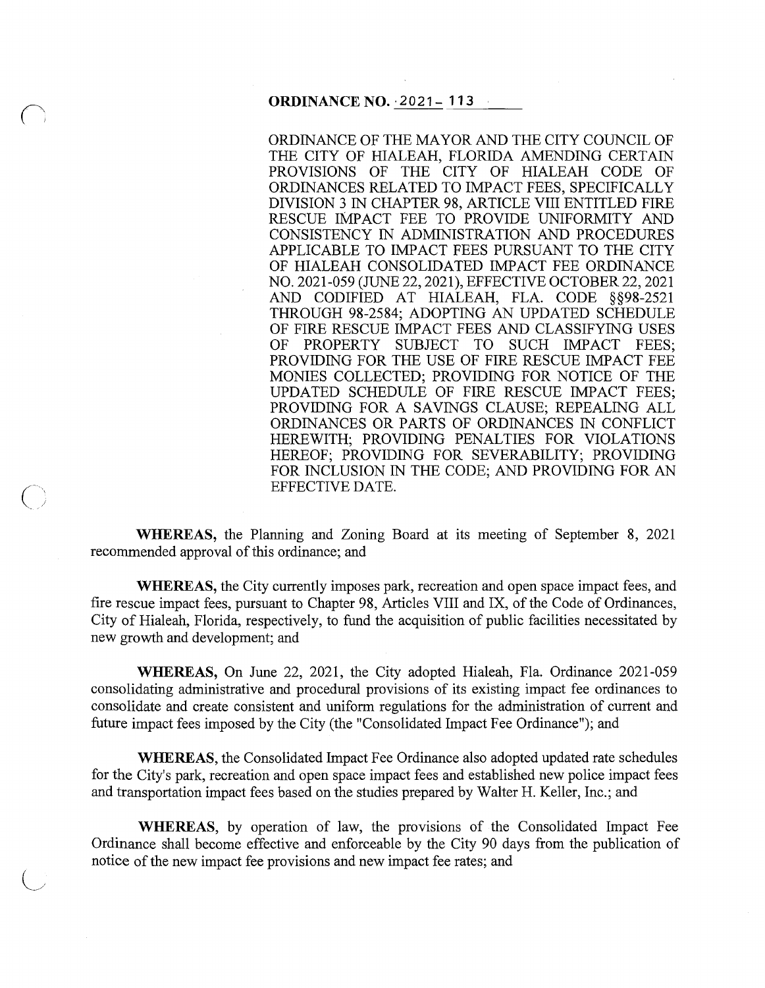$\bigcap$ 

 $\big($ 

ORDINANCE OF THE MAYOR AND THE CITY COUNCIL OF THE CITY OF HIALEAH, FLORIDA AMENDING CERTAIN PROVISIONS OF THE CITY OF HIALEAH CODE OF ORDINANCES RELATED TO IMPACT FEES, SPECIFICALLY DIVISION 3 IN CHAPTER 98, ARTICLE VIII ENTITLED FIRE RESCUE IMPACT FEE TO PROVIDE UNIFORMITY AND CONSISTENCY IN ADMINISTRATION AND PROCEDURES APPLICABLE TO IMPACT FEES PURSUANT TO THE CITY OF HIALEAH CONSOLIDATED IMPACT FEE ORDINANCE NO. 2021-059 (JUNE 22, 2021), EFFECTIVE OCTOBER 22, 2021 AND CODIFIED AT HIALEAH, FLA. CODE §§98-2521 THROUGH 98-2584; ADOPTING AN UPDATED SCHEDULE OF FIRE RESCUE IMPACT FEES AND CLASSIFYING USES OF PROPERTY SUBJECT TO SUCH IMPACT FEES; PROVIDING FOR THE USE OF FIRE RESCUE IMPACT FEE MONIES COLLECTED; PROVIDING FOR NOTICE OF THE UPDATED SCHEDULE OF FIRE RESCUE IMPACT FEES; PROVIDING FOR A SAVINGS CLAUSE; REPEALING ALL ORDINANCES OR PARTS OF ORDINANCES IN CONFLICT HEREWITH; PROVIDING PENALTIES FOR VIOLATIONS HEREOF; PROVIDING FOR SEVERABILITY; PROVIDING FOR INCLUSION IN THE CODE; AND PROVIDING FOR AN EFFECTIVE DATE.

**WHEREAS,** the Planning and Zoning Board at its meeting of September 8, 2021 recommended approval of this ordinance; and

**WHEREAS,** the City currently imposes park, recreation and open space impact fees, and fire rescue impact fees, pursuant to Chapter 98, Articles VIII and IX, of the Code of Ordinances, City of Hialeah, Florida, respectively, to fund the acquisition of public facilities necessitated by new growth and development; and

**WHEREAS,** On June 22, 2021, the City adopted Hialeah, Fla. Ordinance 2021-059 consolidating administrative and procedural provisions of its existing impact fee ordinances to consolidate and create consistent and uniform regulations for the administration of current and future impact fees imposed by the City (the "Consolidated Impact Fee Ordinance"); and

**WHEREAS,** the Consolidated Impact Fee Ordinance also adopted updated rate schedules for the City's park, recreation and open space impact fees and established new police impact fees and transportation impact fees based on the studies prepared by Walter H. Keller, Inc.; and

**WHEREAS,** by operation of law, the provisions of the Consolidated Impact Fee Ordinance shall become effective and enforceable by the City 90 days from the publication of notice of the new impact fee provisions and new impact fee rates; and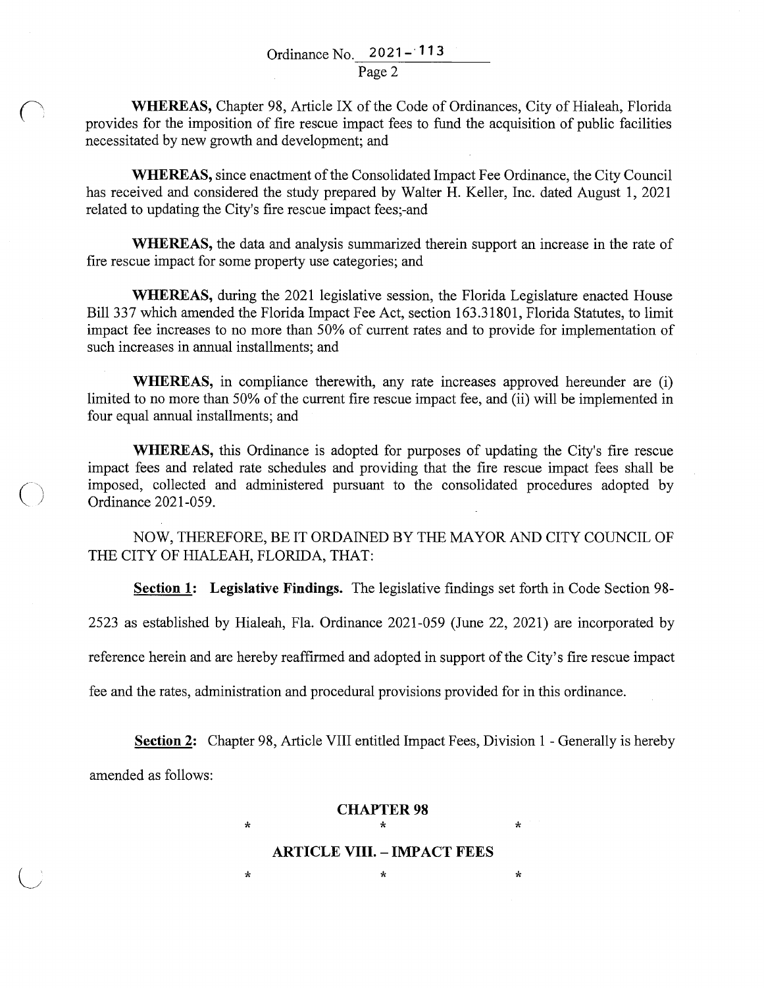**WHEREAS,** Chapter 98, Article IX of the Code of Ordinances, City of Hialeah, Florida provides for the imposition of fire rescue impact fees to fund the acquisition of public facilities necessitated by new growth and development; and

**WHEREAS,** since enactment of the Consolidated Impact Fee Ordinance, the City Council has received and considered the study prepared by Walter H. Keller, Inc. dated August 1, 2021 related to updating the City's fire rescue impact fees;-and

**WHEREAS,** the data and analysis summarized therein support an increase in the rate of fire rescue impact for some property use categories; and

**WHEREAS,** during the 2021 legislative session, the Florida Legislature enacted House Bill 337 which amended the Florida Impact Fee Act, section 163.31801, Florida Statutes, to limit impact fee increases to no more than 50% of current rates and to provide for implementation of such increases in annual installments; and

**WHEREAS,** in compliance therewith, any rate increases approved hereunder are (i) limited to no more than 50% of the current fire rescue impact fee, and (ii) will be implemented in four equal annual installments; and

**WHEREAS,** this Ordinance is adopted for purposes of updating the City's fire rescue impact fees and related rate schedules and providing that the fire rescue impact fees shall be imposed, collected and administered pursuant to the consolidated procedures adopted by Ordinance 2021-059.

NOW, THEREFORE, BE IT ORDAINED BY THE MAYOR AND CITY COUNCIL OF THE CITY OF HIALEAH, FLORIDA, THAT:

**Section 1: Legislative Findings.** The legislative findings set forth in Code Section 98-

2523 as established by Hialeah, Fla. Ordinance 2021-059 (June 22, 2021) are incorporated by

reference herein and are hereby reaffirmed and adopted in support of the City's fire rescue impact

fee and the rates, administration and procedural provisions provided for in this ordinance.

**Section 2:** Chapter 98, Article VIII entitled Impact Fees, Division 1 - Generally is hereby

amended as follows:

 $(+)$ 

# **CHAPTER98**   $\star$  \*  $\star$  \*

# **ARTICLE VIII. - IMP ACT FEES**

 $\star$  \*  $\star$  \*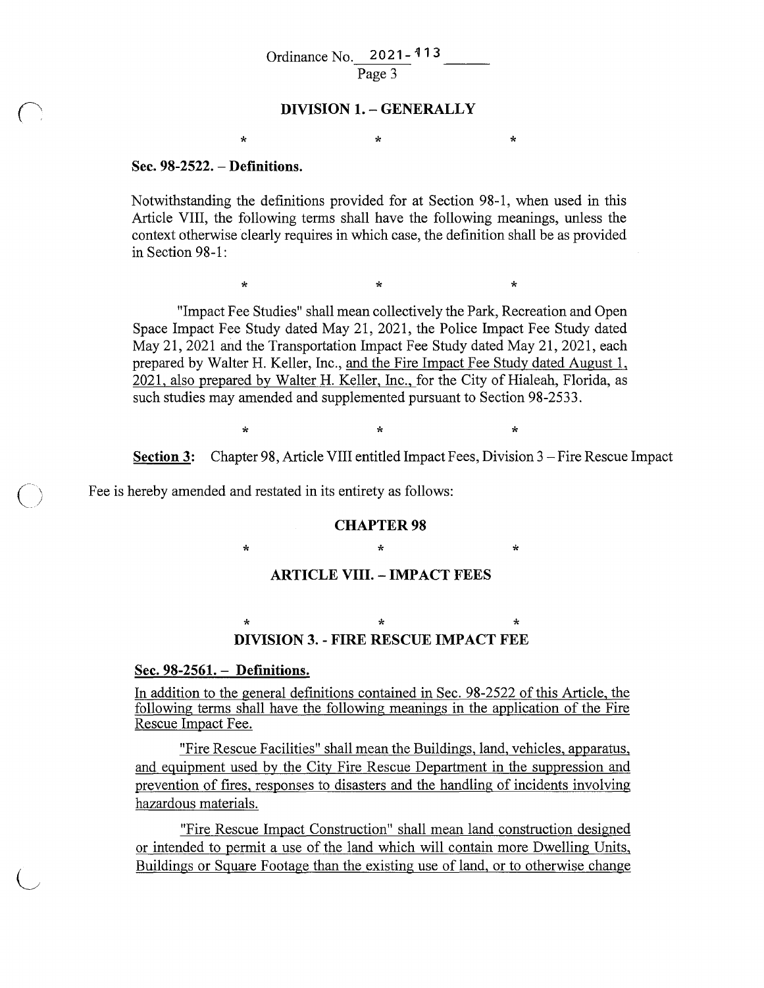#### **DIVISION 1. - GENERALLY**

 $\star$  \*  $\star$  \*  $\star$ 

#### **Sec. 98-2522. - Definitions.**

Notwithstanding the definitions provided for at Section 98-1, when used in this Article VIII, the following terms shall have the following meanings, unless the context otherwise clearly requires in which case, the definition shall be as provided in Section 98-1:

"Impact Fee Studies" shall mean collectively the Park, Recreation and Open Space Impact Fee Study dated May 21, 2021, the Police Impact Fee Study dated May 21, 2021 and the Transportation Impact Fee Study dated May 21, 2021, each prepared by Walter H. Keller, Inc., and the Fire Impact Fee Study dated August 1, 2021, also prepared by Walter H. Keller, Inc., for the City of Hialeah, Florida, as such studies may amended and supplemented pursuant to Section 98-2533.

 $\star$  \*  $\star$  \*

 $\star$  \*  $\star$  \*  $\star$ 

**Section 3:** Chapter 98, Article VIII entitled Impact Fees, Division 3 – Fire Rescue Impact

Fee is hereby amended and restated in its entirety as follows:

#### **CHAPTER98**

 $\star$  \*  $\star$  \*

#### **ARTICLE VIII. - IMP ACT FEES**

#### \*  $*$  \*  $*$  \*  $*$ **DIVISION 3. - FIRE RESCUE IMP ACT FEE**

## **Sec. 98-2561. - Definitions.**

In addition to the general definitions contained in Sec. 98-2522 of this Article, the following terms shall have the following meanings in the application of the Fire Rescue Impact Fee.

"Fire Rescue Facilities" shall mean the Buildings, land, vehicles, apparatus, and equipment used by the City Fire Rescue Department in the suppression and prevention of fires, responses to disasters and the handling of incidents involving hazardous materials.

"Fire Rescue Impact Construction" shall mean land construction designed or intended to permit a use of the land which will contain more Dwelling Units, Buildings or Square Footage than the existing use of land, or to otherwise change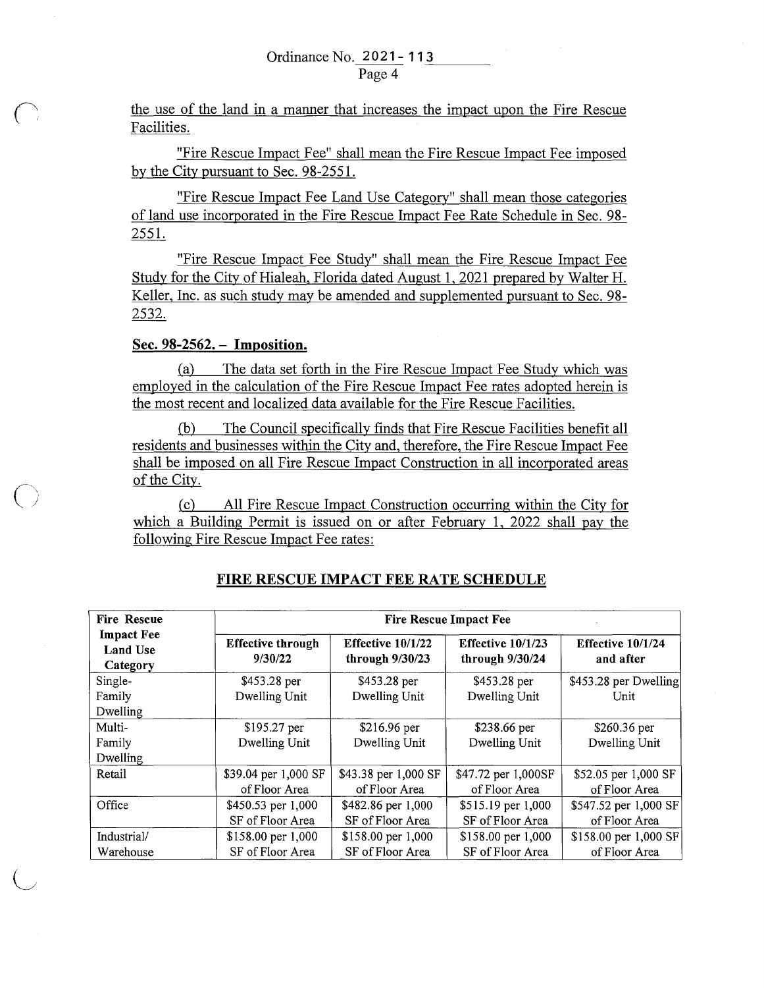the use of the land in a manner that increases the impact upon the Fire Rescue Facilities.

"Fire Rescue Impact Fee" shall mean the Fire Rescue Impact Fee imposed by the City pursuant to Sec. 98-2551.

"Fire Rescue Impact Fee Land Use Category" shall mean those categories of land use incorporated in the Fire Rescue Impact Fee Rate Schedule in Sec. 98- 2551.

"Fire Rescue Impact Fee Study" shall mean the Fire Rescue Impact Fee Study for the City of Hialeah, Florida dated August l, 2021 prepared by Walter H. Keller, Inc. as such study may be amended and supplemented pursuant to Sec. 98- 2532.

#### Sec. 98-2562. - Imposition.

(a) The data set forth in the Fire Rescue Impact Fee Study which was employed in the calculation of the Fire Rescue Impact Fee rates adopted herein is the most recent and localized data available for the Fire Rescue Facilities.

(b) The Council specifically finds that Fire Rescue Facilities benefit all residents and businesses within the City and, therefore, the Fire Rescue Impact Fee shall be imposed on all Fire Rescue Impact Construction in all incorporated areas of the City.

(c) All Fire Rescue Impact Construction occurring within the City for which a Building Permit is issued on or after February l, 2022 shall pay the following Fire Rescue Impact Fee rates:

| <b>Fire Rescue</b>                               | <b>Fire Rescue Impact Fee</b>       |                                          |                                        |                                |  |
|--------------------------------------------------|-------------------------------------|------------------------------------------|----------------------------------------|--------------------------------|--|
| <b>Impact Fee</b><br><b>Land Use</b><br>Category | <b>Effective through</b><br>9/30/22 | Effective $10/1/22$<br>through $9/30/23$ | Effective $10/1/23$<br>through 9/30/24 | Effective 10/1/24<br>and after |  |
| Single-                                          | \$453.28 per                        | \$453.28 per                             | \$453.28 per                           | \$453.28 per Dwelling          |  |
| Family                                           | Dwelling Unit                       | Dwelling Unit                            | Dwelling Unit                          | Unit                           |  |
| Dwelling                                         |                                     |                                          |                                        |                                |  |
| Multi-                                           | \$195.27 per                        | \$216.96 per                             | \$238.66 per                           | \$260.36 per                   |  |
| Family                                           | Dwelling Unit                       | Dwelling Unit                            | Dwelling Unit                          | Dwelling Unit                  |  |
| Dwelling                                         |                                     |                                          |                                        |                                |  |
| Retail                                           | \$39.04 per 1,000 SF                | \$43.38 per 1,000 SF                     | \$47.72 per 1,000SF                    | \$52.05 per 1,000 SF           |  |
|                                                  | of Floor Area                       | of Floor Area                            | of Floor Area                          | of Floor Area                  |  |
| Office                                           | \$450.53 per 1,000                  | \$482.86 per 1,000                       | \$515.19 per 1,000                     | \$547.52 per 1,000 SF          |  |
|                                                  | SF of Floor Area                    | SF of Floor Area                         | SF of Floor Area                       | of Floor Area                  |  |
| Industrial/                                      | \$158.00 per 1,000                  | \$158.00 per 1,000                       | \$158.00 per 1,000                     | \$158.00 per 1,000 SF          |  |
| Warehouse                                        | SF of Floor Area                    | SF of Floor Area                         | SF of Floor Area                       | of Floor Area                  |  |

### FIRE RESCUE IMPACT FEE RATE SCHEDULE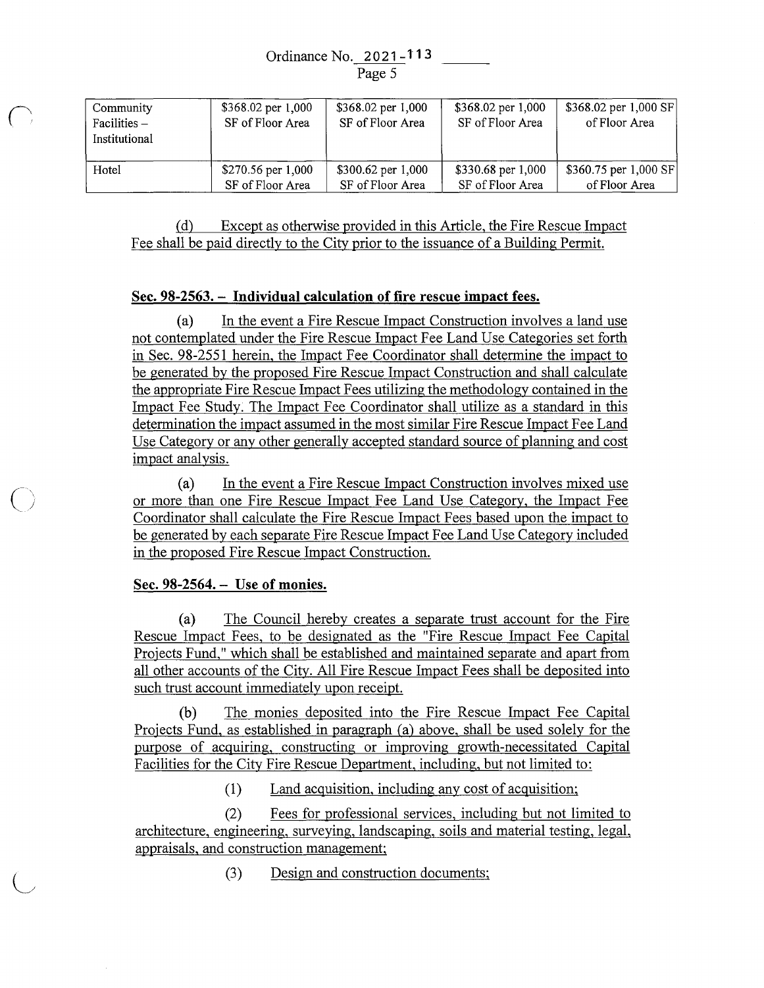| Community<br>Facilities $-$<br>Institutional | \$368.02 per 1,000<br>SF of Floor Area | \$368.02 per 1,000<br>SF of Floor Area | \$368.02 per 1,000<br>SF of Floor Area | $$368.02$ per 1,000 SF<br>of Floor Area |
|----------------------------------------------|----------------------------------------|----------------------------------------|----------------------------------------|-----------------------------------------|
| Hotel                                        | \$270.56 per 1,000                     | $$300.62$ per 1,000                    | $$330.68$ per 1,000                    | $$360.75$ per 1,000 SF                  |
|                                              | SF of Floor Area                       | SF of Floor Area                       | SF of Floor Area                       | of Floor Area                           |

(d) Except as otherwise provided in this Article, the Fire Rescue Impact Fee shall be paid directly to the City prior to the issuance of a Building Permit.

# **Sec. 98-2563. - Individual calculation of fire rescue impact fees.**

(a) In the event a Fire Rescue Impact Construction involves a land use not contemplated under the Fire Rescue Impact Fee Land Use Categories set forth in Sec. 98-2551 herein, the Impact Fee Coordinator shall determine the impact to be generated by the proposed Fire Rescue Impact Construction and shall calculate the appropriate Fire Rescue Impact Fees utilizing the methodology contained in the Impact Fee Study. The Impact Fee Coordinator shall utilize as a standard in this determination the impact assumed in the most similar Fire Rescue Impact Fee Land Use Category or any other generally accepted standard source of planning and cost impact analysis.

(a) In the event a Fire Rescue Impact Construction involves mixed use or more than one Fire Rescue Impact Fee Land Use Category, the Impact Fee Coordinator shall calculate the Fire Rescue Impact Fees based upon the impact to be generated by each separate Fire Rescue Impact Fee Land Use Category included in the proposed Fire Rescue Impact Construction.

## **Sec. 98-2564. - Use of monies.**

 $\bigcirc$ 

(a) The Council hereby creates a separate trust account for the Fire Rescue Impact Fees, to be designated as the "Fire Rescue Impact Fee Capital Projects Fund," which shall be established and maintained separate and apart from all other accounts of the City. All Fire Rescue Impact Fees shall be deposited into such trust account immediately upon receipt.

**(b)** The monies deposited into the Fire Rescue Impact Fee Capital Projects Fund, as established in paragraph (a) above, shall be used solely for the purpose of acquiring, constructing or improving growth-necessitated Capital Facilities for the City Fire Rescue Department, including, but not limited to:

(1) Land acquisition, including any cost of acquisition;

(2) Fees for professional services, including but not limited to architecture, engineering, surveying, landscaping, soils and material testing, legal, appraisals, and construction management;

(3) Design and construction documents;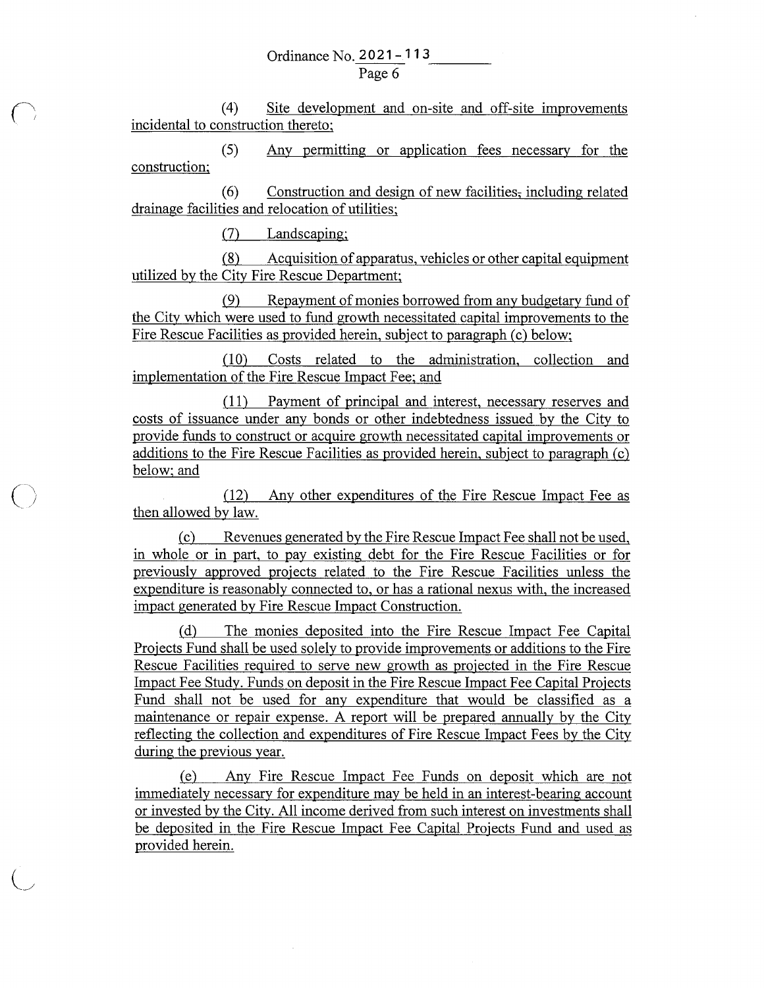( 4) Site development and on-site and off-site improvements incidental to construction thereto;

(5) Any permitting or application fees necessary for the construction;

(6) Construction and design of new facilities, including related drainage facilities and relocation of utilities;

(7) Landscaping;

(8) Acquisition of apparatus, vehicles or other capital equipment utilized by the City Fire Rescue Department;

(9) Repayment of monies borrowed from any budgetary fund of the City which were used to fund growth necessitated capital improvements to the Fire Rescue Facilities as provided herein, subject to paragraph (c) below;

(10) Costs related to the administration, collection and implementation of the Fire Rescue Impact Fee; and

(11) Payment of principal and interest, necessary reserves and costs of issuance under any bonds or other indebtedness issued by the City to provide funds to construct or acquire growth necessitated capital improvements or additions to the Fire Rescue Facilities as provided herein, subject to paragraph (c) below; and

(12) Any other expenditures of the Fire Rescue Impact Fee as then allowed by law.

(c) Revenues generated by the Fire Rescue Impact Fee shall not be used, in whole or in part, to pay existing debt for the Fire Rescue Facilities or for previously approved projects related to the Fire Rescue Facilities unless the expenditure is reasonably connected to, or has a rational nexus with, the increased impact generated by Fire Rescue Impact Construction.

(d) The monies deposited into the Fire Rescue Impact Fee Capital Projects Fund shall be used solely to provide improvements or additions to the Fire Rescue Facilities required to serve new growth as projected in the Fire Rescue Impact Fee Study. Funds on deposit in the Fire Rescue Impact Fee Capital Projects Fund shall not be used for any expenditure that would be classified as a maintenance or repair expense. A report will be prepared annually by the City reflecting the collection and expenditures of Fire Rescue Impact Fees by the City during the previous year.

(e) Any Fire Rescue Impact Fee Funds on deposit which are not immediately necessary for expenditure may be held in an interest-bearing account or invested by the City. All income derived from such interest on investments shall be deposited in the Fire Rescue Impact Fee Capital Projects Fund and used as provided herein.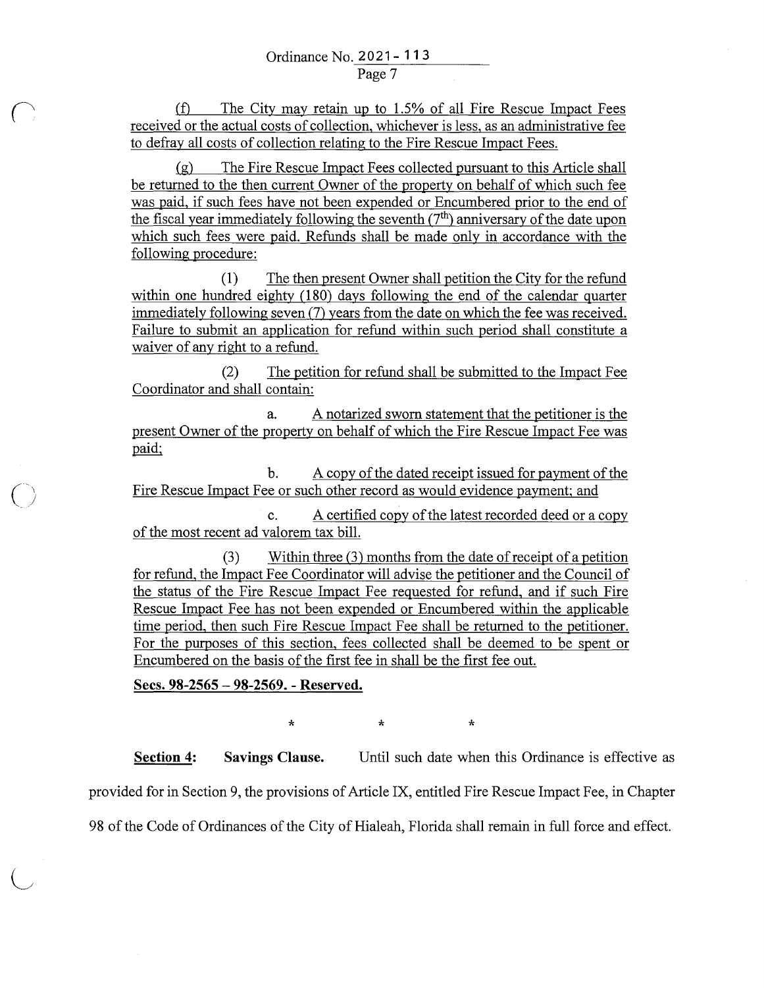(f) The City may retain up to 1.5% of all Fire Rescue Impact Fees received or the actual costs of collection, whichever is less, as an administrative fee to defray all costs of collection relating to the Fire Rescue Impact Fees.

(g) The Fire Rescue Impact Fees collected pursuant to this Article shall be returned to the then current Owner of the property on behalf of which such fee was paid, if such fees have not been expended or Encumbered prior to the end of the fiscal year immediately following the seventh  $(7<sup>th</sup>)$  anniversary of the date upon which such fees were paid. Refunds shall be made only in accordance with the following procedure:

( 1) The then present Owner shall petition the City for the refund within one hundred eighty (180) days following the end of the calendar quarter immediately following seven (7) years from the date on which the fee was received. Failure to submit an application for refund within such period shall constitute a waiver of any right to a refund.

(2) The petition for refund shall be submitted to the Impact Fee Coordinator and shall contain:

a. A notarized sworn statement that the petitioner is the present Owner of the property on behalf of which the Fire Rescue Impact Fee was paid;

b. A copy of the dated receipt issued for payment of the Fire Rescue Impact Fee or such other record as would evidence payment; and

c. A certified copy of the latest recorded deed or a copy of the most recent ad valorem tax bill.

 $(3)$  Within three  $(3)$  months from the date of receipt of a petition for refund, the Impact Fee Coordinator will advise the petitioner and the Council of the status of the Fire Rescue Impact Fee requested for refund, and if such Fire Rescue Impact Fee has not been expended or Encumbered within the applicable time period, then such Fire Rescue Impact Fee shall be returned to the petitioner. For the purposes of this section, fees collected shall be deemed to be spent or Encumbered on the basis of the first fee in shall be the first fee out.

**Secs. 98-2565 - 98-2569. - Reserved.** 

 $\overline{O}$ 

 $\star$  \*  $\star$  \*

**Section 4:** Savings Clause. Until such date when this Ordinance is effective as provided for in Section 9, the provisions of Article IX, entitled Fire Rescue Impact Fee, in Chapter 98 of the Code of Ordinances of the City of Hialeah, Florida shall remain in full force and effect.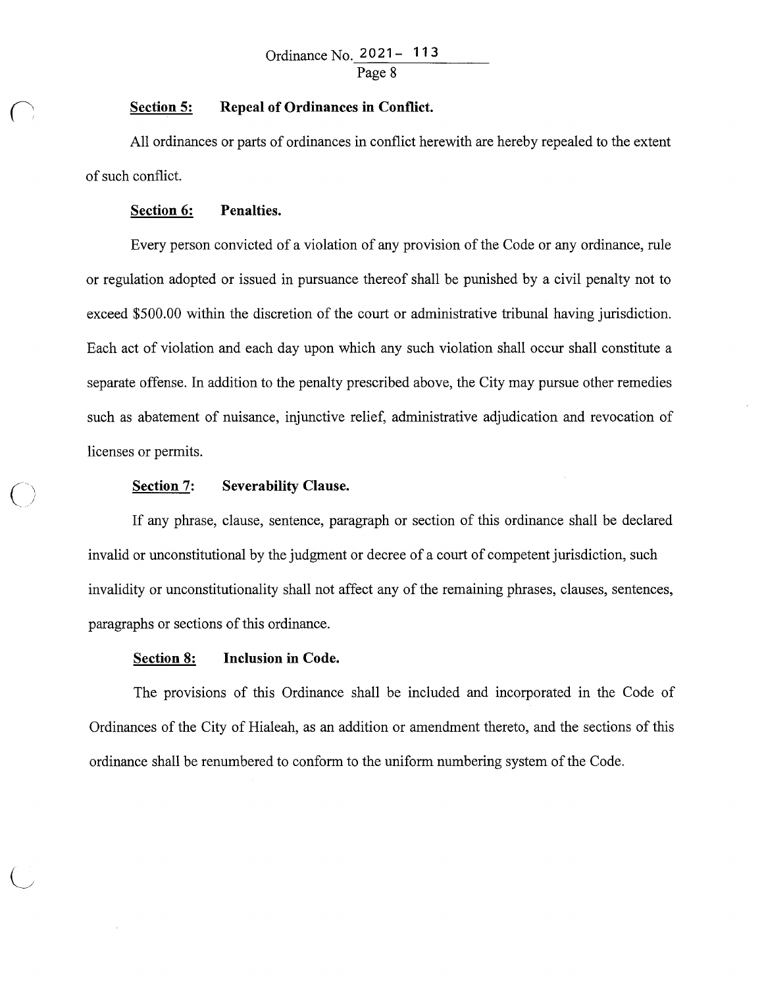#### **Section 5: Repeal of Ordinances in Conflict.**

All ordinances or parts of ordinances in conflict herewith are hereby repealed to the extent of such conflict.

#### **Section 6: Penalties.**

Every person convicted of a violation of any provision of the Code or any ordinance, rule or regulation adopted or issued in pursuance thereof shall be punished by a civil penalty not to exceed \$500.00 within the discretion of the court or administrative tribunal having jurisdiction. Each act of violation and each day upon which any such violation shall occur shall constitute a separate offense. In addition to the penalty prescribed above, the City may pursue other remedies such as abatement of nuisance, injunctive relief, administrative adjudication and revocation of licenses or permits.

# **Section 7: Severability Clause.**

 $\bigcirc$ 

If any phrase, clause, sentence, paragraph or section of this ordinance shall be declared invalid or unconstitutional by the judgment or decree of a court of competent jurisdiction, such invalidity or unconstitutionality shall not affect any of the remaining phrases, clauses, sentences, paragraphs or sections of this ordinance.

## **Section 8: Inclusion in Code.**

The provisions of this Ordinance shall be included and incorporated in the Code of Ordinances of the City of Hialeah, as an addition or amendment thereto, and the sections of this ordinance shall be renumbered to conform to the uniform numbering system of the Code.